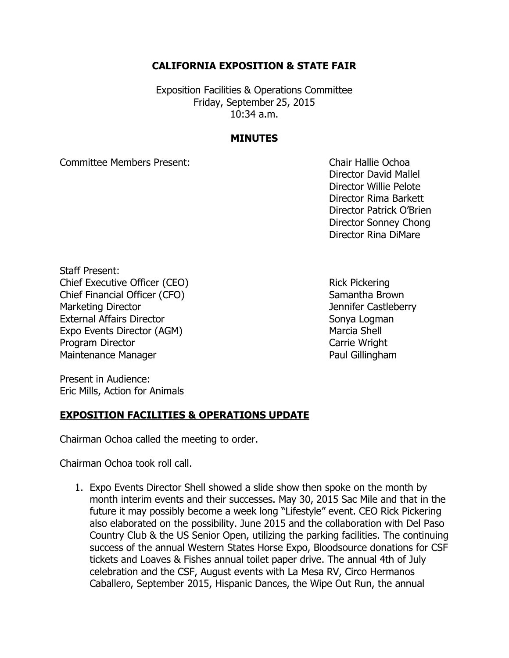## **CALIFORNIA EXPOSITION & STATE FAIR**

Exposition Facilities & Operations Committee Friday, September 25, 2015 10:34 a.m.

## **MINUTES**

Committee Members Present: Chair Hallie Ochoa

Director David Mallel Director Willie Pelote Director Rima Barkett Director Patrick O'Brien Director Sonney Chong Director Rina DiMare

Staff Present: Chief Executive Officer (CEO) Rick Pickering Chief Financial Officer (CFO) Samantha Brown Marketing Director **Marketing Director** Marketing Director **Jennifer Castleberry** External Affairs Director Sonya Logman Expo Events Director (AGM) Marcia Shell Program Director **Carrie Wright** Carrie Wright Maintenance Manager **Paul Gillingham** 

Present in Audience: Eric Mills, Action for Animals

## **EXPOSITION FACILITIES & OPERATIONS UPDATE**

Chairman Ochoa called the meeting to order.

Chairman Ochoa took roll call.

1. Expo Events Director Shell showed a slide show then spoke on the month by month interim events and their successes. May 30, 2015 Sac Mile and that in the future it may possibly become a week long "Lifestyle" event. CEO Rick Pickering also elaborated on the possibility. June 2015 and the collaboration with Del Paso Country Club & the US Senior Open, utilizing the parking facilities. The continuing success of the annual Western States Horse Expo, Bloodsource donations for CSF tickets and Loaves & Fishes annual toilet paper drive. The annual 4th of July celebration and the CSF, August events with La Mesa RV, Circo Hermanos Caballero, September 2015, Hispanic Dances, the Wipe Out Run, the annual